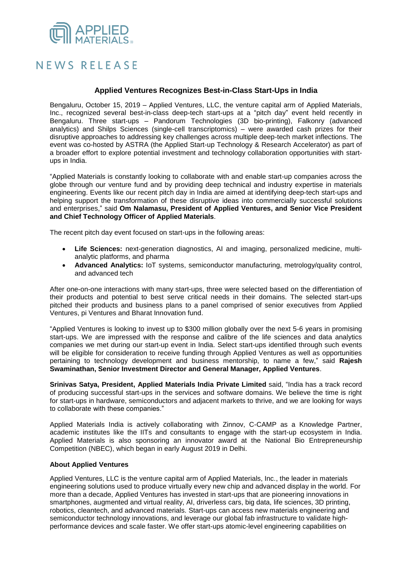## **APPLIED**

## NEWS RELEASE

## **Applied Ventures Recognizes Best-in-Class Start-Ups in India**

Bengaluru, October 15, 2019 – Applied Ventures, LLC, the venture capital arm of Applied Materials, Inc., recognized several best-in-class deep-tech start-ups at a "pitch day" event held recently in Bengaluru. Three start-ups – Pandorum Technologies (3D bio-printing), Falkonry (advanced analytics) and Shilps Sciences (single-cell transcriptomics) – were awarded cash prizes for their disruptive approaches to addressing key challenges across multiple deep-tech market inflections. The event was co-hosted by ASTRA (the Applied Start-up Technology & Research Accelerator) as part of a broader effort to explore potential investment and technology collaboration opportunities with startups in India.

"Applied Materials is constantly looking to collaborate with and enable start-up companies across the globe through our venture fund and by providing deep technical and industry expertise in materials engineering. Events like our recent pitch day in India are aimed at identifying deep-tech start-ups and helping support the transformation of these disruptive ideas into commercially successful solutions and enterprises," said **Om Nalamasu, President of Applied Ventures, and Senior Vice President and Chief Technology Officer of Applied Materials**.

The recent pitch day event focused on start-ups in the following areas:

- **Life Sciences:** next-generation diagnostics, AI and imaging, personalized medicine, multianalytic platforms, and pharma
- **Advanced Analytics:** IoT systems, semiconductor manufacturing, metrology/quality control, and advanced tech

After one-on-one interactions with many start-ups, three were selected based on the differentiation of their products and potential to best serve critical needs in their domains. The selected start-ups pitched their products and business plans to a panel comprised of senior executives from Applied Ventures, pi Ventures and Bharat Innovation fund.

"Applied Ventures is looking to invest up to \$300 million globally over the next 5-6 years in promising start-ups. We are impressed with the response and calibre of the life sciences and data analytics companies we met during our start-up event in India. Select start-ups identified through such events will be eligible for consideration to receive funding through Applied Ventures as well as opportunities pertaining to technology development and business mentorship, to name a few," said **Rajesh Swaminathan, Senior Investment Director and General Manager, Applied Ventures**.

**Srinivas Satya, President, Applied Materials India Private Limited** said, "India has a track record of producing successful start-ups in the services and software domains. We believe the time is right for start-ups in hardware, semiconductors and adjacent markets to thrive, and we are looking for ways to collaborate with these companies."

Applied Materials India is actively collaborating with Zinnov, C-CAMP as a Knowledge Partner, academic institutes like the IITs and consultants to engage with the start-up ecosystem in India. Applied Materials is also sponsoring an innovator award at the National Bio Entrepreneurship Competition (NBEC), which began in early August 2019 in Delhi.

## **About Applied Ventures**

Applied Ventures, LLC is the venture capital arm of Applied Materials, Inc., the leader in materials engineering solutions used to produce virtually every new chip and advanced display in the world. For more than a decade, Applied Ventures has invested in start-ups that are pioneering innovations in smartphones, augmented and virtual reality, AI, driverless cars, big data, life sciences, 3D printing, robotics, cleantech, and advanced materials. Start-ups can access new materials engineering and semiconductor technology innovations, and leverage our global fab infrastructure to validate highperformance devices and scale faster. We offer start-ups atomic-level engineering capabilities on